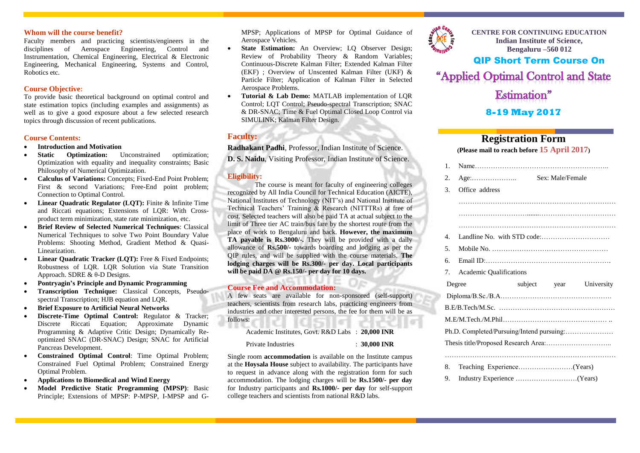### **Whom will the course benefit?**

Faculty members and practicing scientists/engineers in the disciplines of Aerospace Engineering, Control and Instrumentation, Chemical Engineering, Electrical & Electronic Engineering, Mechanical Engineering, Systems and Control, Robotics etc.

### **Course Objective:**

To provide basic theoretical background on optimal control and state estimation topics (including examples and assignments) as well as to give a good exposure about a few selected research topics through discussion of recent publications.

### **Course Contents:**

- 
- **Introduction and Motivation<br>Static Contimization:** Unconstrained **Static Ontimization:** Unconstrained optimization: Optimization with equality and inequality constraints; Basic Philosophy of Numerical Optimization.
- **Calculus of Variations:** Concepts; Fixed-End Point Problem; First & second Variations: Free-End point problem; Connection to Optimal Control.
- Linear Quadratic Regulator (LQT): Finite & Infinite Time and Riccati equations; Extensions of LQR: With Crossproduct term minimization, state rate minimization, etc.
- **Brief Review of Selected Numerical Techniques**: Classical Numerical Techniques to solve Two Point Boundary Value Problems: Shooting Method, Gradient Method & Quasi-Linearization.
- **Linear Quadratic Tracker (LQT):** Free & Fixed Endpoints; Robustness of LQR. LQR Solution via State Transition Approach. SDRE & θ-D Designs.
- **Pontryagin's Principle and Dynamic Programming**
- **Transcription Technique:** Classical Concepts, Pseudospectral Transcription; HJB equation and LQR.
- **Brief Exposure to Artificial Neural Networks**
- **Discrete-Time Optimal Control:** Regulator & Tracker; Discrete Riccati Equation; Approximate Dynamic Programming & Adaptive Critic Design; Dynamically Reoptimized SNAC (DR-SNAC) Design; SNAC for Artificial Pancreas Development.
- **Constrained Optimal Control**: Time Optimal Problem; Constrained Fuel Optimal Problem; Constrained Energy Optimal Problem.
- **Applications to Biomedical and Wind Energy**
- **Model Predictive Static Programming (MPSP)**: Basic Principle; Extensions of MPSP: P-MPSP, I-MPSP and G-

MPSP; Applications of MPSP for Optimal Guidance of Aerospace Vehicles.

- **State Estimation:** An Overview; LO Observer Design; Review of Probability Theory & Random Variables; Continuous-Discrete Kalman Filter; Extended Kalman Filter (EKF) ; Overview of Unscented Kalman Filter (UKF) & Particle Filter; Application of Kalman Filter in Selected Aerospace Problems.
- **Tutorial & Lab Demo:** MATLAB implementation of LQR Control; LQT Control; Pseudo-spectral Transcription; SNAC & DR-SNAC; Time & Fuel Optimal Closed Loop Control via SIMULINK; Kalman Filter Design.

### **Faculty:**

**Radhakant Padhi**, Professor, Indian Institute of Science.

**D. S. Naidu**, Visiting Professor, Indian Institute of Science.

### **Eligibility:**

The course is meant for faculty of engineering colleges recognized by All India Council for Technical Education (AICTE), National Institutes of Technology (NIT's) and National Institute of Technical Teachers' Training & Research (NITTTRs) at free of cost. Selected teachers will also be paid TA at actual subject to the limit of Three tier AC train/bus fare by the shortest route from the place of work to Bengaluru and back. **However, the maximum TA payable is Rs.3000/-.** They will be provided with a daily allowance of **Rs.500/-** towards boarding and lodging as per the QIP rules, and will be supplied with the course materials. **The lodging charges will be Rs.300/- per day. Local participants will be paid DA @ Rs.150/- per day for 10 days.**

### **Course Fee and Accommodation:**

A few seats are available for non-sponsored (self-support) teachers, scientists from research labs, practicing engineers from industries and other interested persons, the fee for them will be as follows:

Academic Institutes, Govt. R&D Labs : **20,000 INR**

Private Industries : **30,000 INR**

Single room **accommodation** is available on the Institute campus at the **Hoysala House** subject to availability. The participants have to request in advance along with the registration form for such accommodation. The lodging charges will be **Rs.1500/- per day** for Industry participants and **Rs.1000/- per day** for self-support college teachers and scientists from national R&D labs.



**CENTRE FOR CONTINUING EDUCATION Indian Institute of Science, Bengaluru –560 012**

# QIP Short Term Course On

"Applied Optimal Control and State

Estimation"

## **8-19 May 2017**

# **Registration Form**

**(Please mail to reach before 15 April 2017)**

| $\mathbf{1}$ .                            |                         |              |            |  |  |  |  |
|-------------------------------------------|-------------------------|--------------|------------|--|--|--|--|
| 2.                                        |                         |              |            |  |  |  |  |
| 3.                                        | Office address          |              |            |  |  |  |  |
|                                           |                         |              |            |  |  |  |  |
|                                           |                         |              |            |  |  |  |  |
|                                           |                         |              |            |  |  |  |  |
| $4_{\cdot}$                               |                         |              |            |  |  |  |  |
| 5.                                        |                         |              |            |  |  |  |  |
| б.                                        |                         |              |            |  |  |  |  |
| 7.                                        | Academic Qualifications |              |            |  |  |  |  |
|                                           | Degree                  | subject year | University |  |  |  |  |
|                                           |                         |              |            |  |  |  |  |
|                                           |                         |              |            |  |  |  |  |
|                                           |                         |              |            |  |  |  |  |
| Ph.D. Completed/Pursuing/Intend pursuing: |                         |              |            |  |  |  |  |
|                                           |                         |              |            |  |  |  |  |
|                                           |                         |              |            |  |  |  |  |
| 8.                                        |                         |              |            |  |  |  |  |
| 9.                                        |                         |              |            |  |  |  |  |
|                                           |                         |              |            |  |  |  |  |